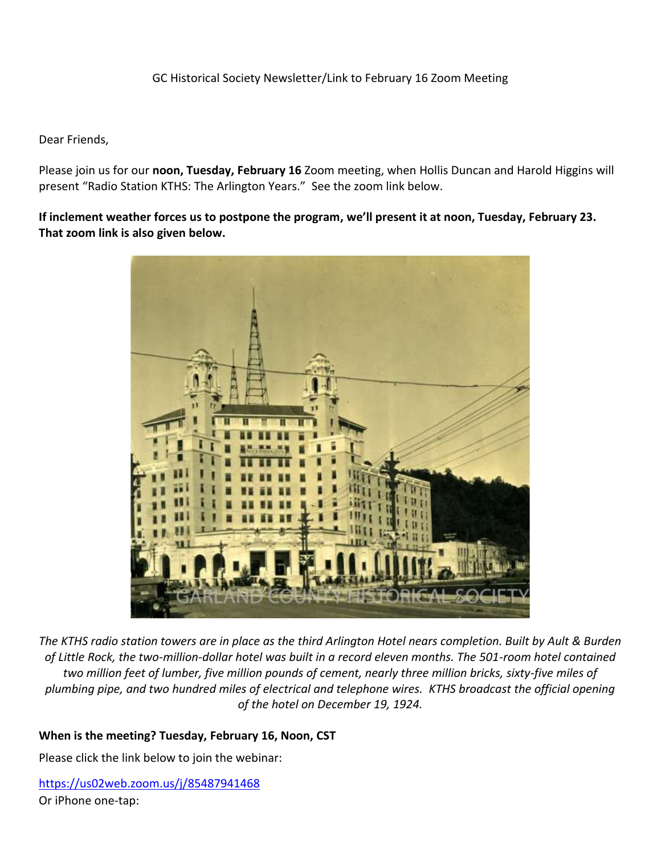#### GC Historical Society Newsletter/Link to February 16 Zoom Meeting

#### Dear Friends,

Please join us for our **noon, Tuesday, February 16** Zoom meeting, when Hollis Duncan and Harold Higgins will present "Radio Station KTHS: The Arlington Years." See the zoom link below.

**If inclement weather forces us to postpone the program, we'll present it at noon, Tuesday, February 23. That zoom link is also given below.** 



*The KTHS radio station towers are in place as the third Arlington Hotel nears completion. Built by Ault & Burden of Little Rock, the two-million-dollar hotel was built in a record eleven months. The 501-room hotel contained two million feet of lumber, five million pounds of cement, nearly three million bricks, sixty-five miles of plumbing pipe, and two hundred miles of electrical and telephone wires. KTHS broadcast the official opening of the hotel on December 19, 1924.*

#### **When is the meeting? Tuesday, February 16, Noon, CST**

Please click the link below to join the webinar:

<https://us02web.zoom.us/j/85487941468> Or iPhone one-tap: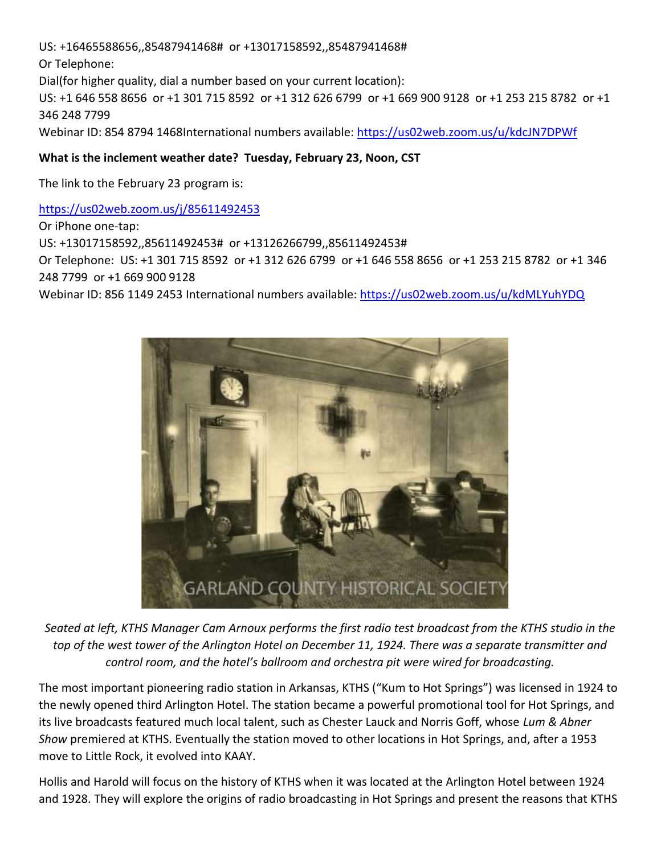US: +16465588656,,85487941468# or +13017158592,,85487941468#

Or Telephone:

Dial(for higher quality, dial a number based on your current location):

US: +1 646 558 8656 or +1 301 715 8592 or +1 312 626 6799 or +1 669 900 9128 or +1 253 215 8782 or +1 346 248 7799

Webinar ID: 854 8794 1468International numbers available:<https://us02web.zoom.us/u/kdcJN7DPWf>

## **What is the inclement weather date? Tuesday, February 23, Noon, CST**

The link to the February 23 program is:

## <https://us02web.zoom.us/j/85611492453>

Or iPhone one-tap: US: +13017158592,,85611492453# or +13126266799,,85611492453# Or Telephone: US: +1 301 715 8592 or +1 312 626 6799 or +1 646 558 8656 or +1 253 215 8782 or +1 346 248 7799 or +1 669 900 9128 Webinar ID: 856 1149 2453 International numbers available:<https://us02web.zoom.us/u/kdMLYuhYDQ>



*Seated at left, KTHS Manager Cam Arnoux performs the first radio test broadcast from the KTHS studio in the top of the west tower of the Arlington Hotel on December 11, 1924. There was a separate transmitter and control room, and the hotel's ballroom and orchestra pit were wired for broadcasting.*

The most important pioneering radio station in Arkansas, KTHS ("Kum to Hot Springs") was licensed in 1924 to the newly opened third Arlington Hotel. The station became a powerful promotional tool for Hot Springs, and its live broadcasts featured much local talent, such as Chester Lauck and Norris Goff, whose *Lum & Abner Show* premiered at KTHS. Eventually the station moved to other locations in Hot Springs, and, after a 1953 move to Little Rock, it evolved into KAAY.

Hollis and Harold will focus on the history of KTHS when it was located at the Arlington Hotel between 1924 and 1928. They will explore the origins of radio broadcasting in Hot Springs and present the reasons that KTHS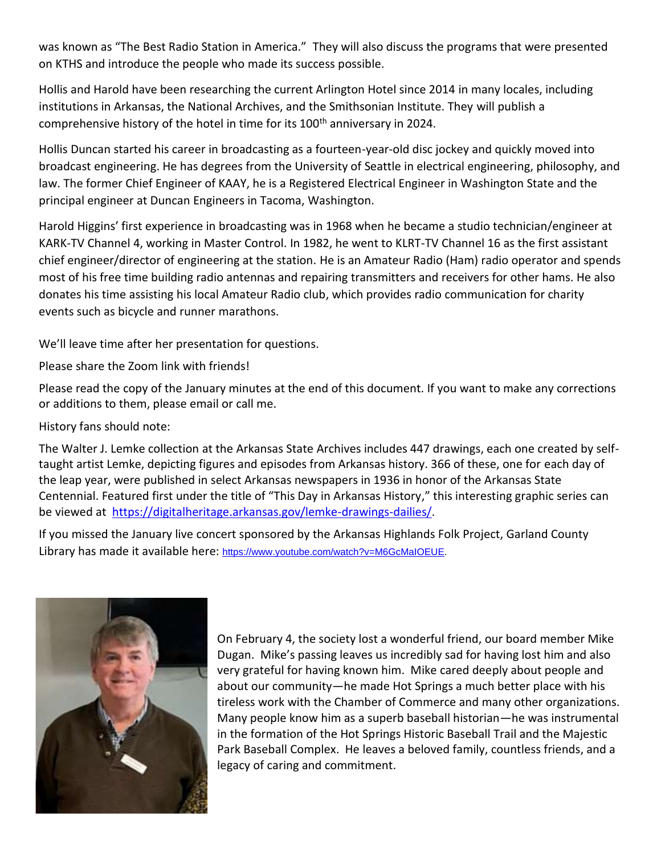was known as "The Best Radio Station in America." They will also discuss the programs that were presented on KTHS and introduce the people who made its success possible.

Hollis and Harold have been researching the current Arlington Hotel since 2014 in many locales, including institutions in Arkansas, the National Archives, and the Smithsonian Institute. They will publish a comprehensive history of the hotel in time for its 100<sup>th</sup> anniversary in 2024.

Hollis Duncan started his career in broadcasting as a fourteen-year-old disc jockey and quickly moved into broadcast engineering. He has degrees from the University of Seattle in electrical engineering, philosophy, and law. The former Chief Engineer of KAAY, he is a Registered Electrical Engineer in Washington State and the principal engineer at Duncan Engineers in Tacoma, Washington.

Harold Higgins' first experience in broadcasting was in 1968 when he became a studio technician/engineer at KARK-TV Channel 4, working in Master Control. In 1982, he went to KLRT-TV Channel 16 as the first assistant chief engineer/director of engineering at the station. He is an Amateur Radio (Ham) radio operator and spends most of his free time building radio antennas and repairing transmitters and receivers for other hams. He also donates his time assisting his local Amateur Radio club, which provides radio communication for charity events such as bicycle and runner marathons.

We'll leave time after her presentation for questions.

Please share the Zoom link with friends!

Please read the copy of the January minutes at the end of this document. If you want to make any corrections or additions to them, please email or call me.

History fans should note:

The Walter J. Lemke collection at the Arkansas State Archives includes 447 drawings, each one created by selftaught artist Lemke, depicting figures and episodes from Arkansas history. 366 of these, one for each day of the leap year, were published in select Arkansas newspapers in 1936 in honor of the Arkansas State Centennial. Featured first under the title of "This Day in Arkansas History," this interesting graphic series can be viewed at [https://digitalheritage.arkansas.gov/lemke-drawings-dailies/.](https://digitalheritage.arkansas.gov/lemke-drawings-dailies/)

If you missed the January live concert sponsored by the Arkansas Highlands Folk Project, Garland County Library has made it available here: [https://www.youtube.com/watch?v=M6GcMaIOEUE.](https://www.youtube.com/watch?v=M6GcMaIOEUE)



On February 4, the society lost a wonderful friend, our board member Mike Dugan. Mike's passing leaves us incredibly sad for having lost him and also very grateful for having known him. Mike cared deeply about people and about our community—he made Hot Springs a much better place with his tireless work with the Chamber of Commerce and many other organizations. Many people know him as a superb baseball historian—he was instrumental in the formation of the Hot Springs Historic Baseball Trail and the Majestic Park Baseball Complex. He leaves a beloved family, countless friends, and a legacy of caring and commitment.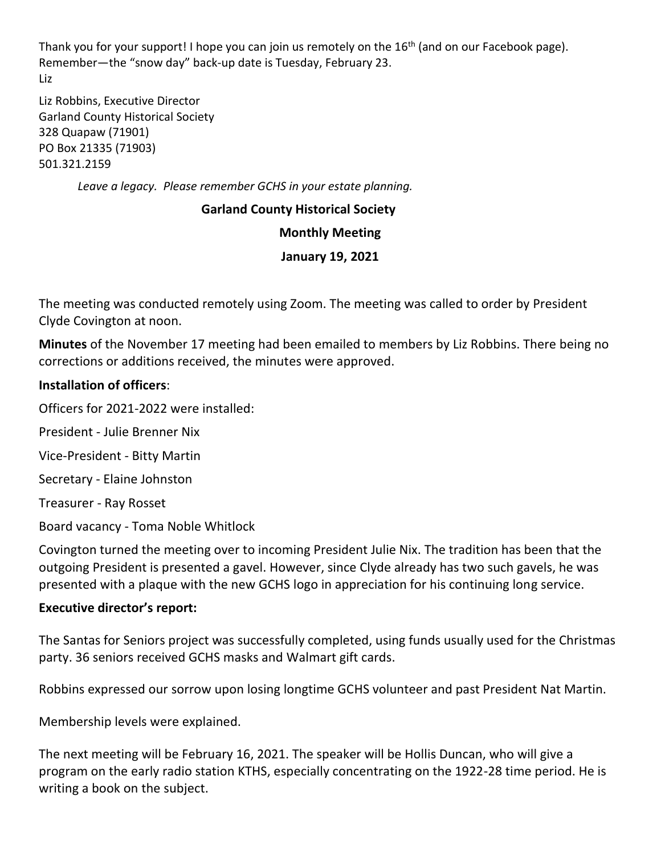Thank you for your support! I hope you can join us remotely on the 16<sup>th</sup> (and on our Facebook page). Remember—the "snow day" back-up date is Tuesday, February 23. Liz

Liz Robbins, Executive Director Garland County Historical Society 328 Quapaw (71901) PO Box 21335 (71903) 501.321.2159

*Leave a legacy. Please remember GCHS in your estate planning.*

# **Garland County Historical Society**

#### **Monthly Meeting**

## **January 19, 2021**

The meeting was conducted remotely using Zoom. The meeting was called to order by President Clyde Covington at noon.

**Minutes** of the November 17 meeting had been emailed to members by Liz Robbins. There being no corrections or additions received, the minutes were approved.

## **Installation of officers**:

Officers for 2021-2022 were installed:

President - Julie Brenner Nix

Vice-President - Bitty Martin

Secretary - Elaine Johnston

Treasurer - Ray Rosset

Board vacancy - Toma Noble Whitlock

Covington turned the meeting over to incoming President Julie Nix. The tradition has been that the outgoing President is presented a gavel. However, since Clyde already has two such gavels, he was presented with a plaque with the new GCHS logo in appreciation for his continuing long service.

#### **Executive director's report:**

The Santas for Seniors project was successfully completed, using funds usually used for the Christmas party. 36 seniors received GCHS masks and Walmart gift cards.

Robbins expressed our sorrow upon losing longtime GCHS volunteer and past President Nat Martin.

Membership levels were explained.

The next meeting will be February 16, 2021. The speaker will be Hollis Duncan, who will give a program on the early radio station KTHS, especially concentrating on the 1922-28 time period. He is writing a book on the subject.